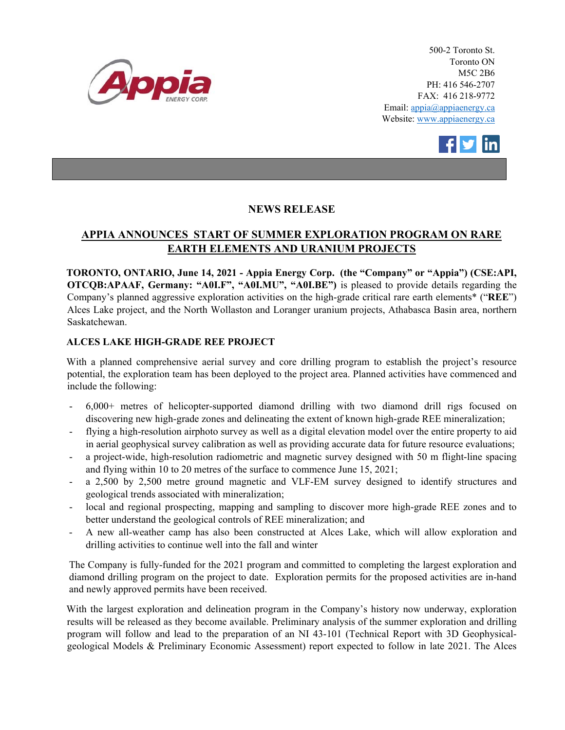

500-2 Toronto St. Toronto ON M5C 2B6 PH: 416 546-2707 FAX: 416 218-9772 Email: appia@appiaenergy.ca Website: www.appiaenergy.ca



## **NEWS RELEASE**

# **APPIA ANNOUNCES START OF SUMMER EXPLORATION PROGRAM ON RARE EARTH ELEMENTS AND URANIUM PROJECTS**

**TORONTO, ONTARIO, June 14, 2021 - Appia Energy Corp. (the "Company" or "Appia") (CSE:API, OTCQB:APAAF, Germany: "A0I.F", "A0I.MU", "A0I.BE")** is pleased to provide details regarding the Company's planned aggressive exploration activities on the high-grade critical rare earth elements\* ("**REE**") Alces Lake project, and the North Wollaston and Loranger uranium projects, Athabasca Basin area, northern Saskatchewan.

### **ALCES LAKE HIGH-GRADE REE PROJECT**

With a planned comprehensive aerial survey and core drilling program to establish the project's resource potential, the exploration team has been deployed to the project area. Planned activities have commenced and include the following:

- 6,000+ metres of helicopter-supported diamond drilling with two diamond drill rigs focused on discovering new high-grade zones and delineating the extent of known high-grade REE mineralization;
- flying a high-resolution airphoto survey as well as a digital elevation model over the entire property to aid in aerial geophysical survey calibration as well as providing accurate data for future resource evaluations;
- a project-wide, high-resolution radiometric and magnetic survey designed with 50 m flight-line spacing and flying within 10 to 20 metres of the surface to commence June 15, 2021;
- a 2,500 by 2,500 metre ground magnetic and VLF-EM survey designed to identify structures and geological trends associated with mineralization;
- local and regional prospecting, mapping and sampling to discover more high-grade REE zones and to better understand the geological controls of REE mineralization; and
- A new all-weather camp has also been constructed at Alces Lake, which will allow exploration and drilling activities to continue well into the fall and winter

The Company is fully-funded for the 2021 program and committed to completing the largest exploration and diamond drilling program on the project to date. Exploration permits for the proposed activities are in-hand and newly approved permits have been received.

With the largest exploration and delineation program in the Company's history now underway, exploration results will be released as they become available. Preliminary analysis of the summer exploration and drilling program will follow and lead to the preparation of an NI 43-101 (Technical Report with 3D Geophysicalgeological Models & Preliminary Economic Assessment) report expected to follow in late 2021. The Alces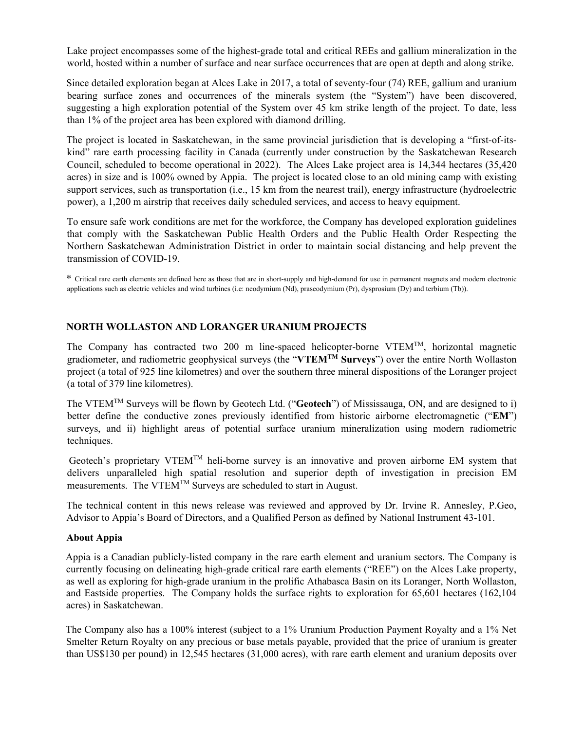Lake project encompasses some of the highest-grade total and critical REEs and gallium mineralization in the world, hosted within a number of surface and near surface occurrences that are open at depth and along strike.

Since detailed exploration began at Alces Lake in 2017, a total of seventy-four (74) REE, gallium and uranium bearing surface zones and occurrences of the minerals system (the "System") have been discovered, suggesting a high exploration potential of the System over 45 km strike length of the project. To date, less than 1% of the project area has been explored with diamond drilling.

The project is located in Saskatchewan, in the same provincial jurisdiction that is developing a "first-of-itskind" rare earth processing facility in Canada (currently under construction by the Saskatchewan Research Council, scheduled to become operational in 2022). The Alces Lake project area is 14,344 hectares (35,420 acres) in size and is 100% owned by Appia. The project is located close to an old mining camp with existing support services, such as transportation (i.e., 15 km from the nearest trail), energy infrastructure (hydroelectric power), a 1,200 m airstrip that receives daily scheduled services, and access to heavy equipment.

To ensure safe work conditions are met for the workforce, the Company has developed exploration guidelines that comply with the Saskatchewan Public Health Orders and the Public Health Order Respecting the Northern Saskatchewan Administration District in order to maintain social distancing and help prevent the transmission of COVID-19.

\* Critical rare earth elements are defined here as those that are in short-supply and high-demand for use in permanent magnets and modern electronic applications such as electric vehicles and wind turbines (i.e: neodymium (Nd), praseodymium (Pr), dysprosium (Dy) and terbium (Tb)).

### **NORTH WOLLASTON AND LORANGER URANIUM PROJECTS**

The Company has contracted two 200 m line-spaced helicopter-borne VTEMTM, horizontal magnetic gradiometer, and radiometric geophysical surveys (the "**VTEMTM Surveys**") over the entire North Wollaston project (a total of 925 line kilometres) and over the southern three mineral dispositions of the Loranger project (a total of 379 line kilometres).

The VTEMTM Surveys will be flown by Geotech Ltd. ("**Geotech**") of Mississauga, ON, and are designed to i) better define the conductive zones previously identified from historic airborne electromagnetic ("**EM**") surveys, and ii) highlight areas of potential surface uranium mineralization using modern radiometric techniques.

Geotech's proprietary VTEM<sup>TM</sup> heli-borne survey is an innovative and proven airborne EM system that delivers unparalleled high spatial resolution and superior depth of investigation in precision EM measurements. The VTEMTM Surveys are scheduled to start in August.

The technical content in this news release was reviewed and approved by Dr. Irvine R. Annesley, P.Geo, Advisor to Appia's Board of Directors, and a Qualified Person as defined by National Instrument 43-101.

#### **About Appia**

Appia is a Canadian publicly-listed company in the rare earth element and uranium sectors. The Company is currently focusing on delineating high-grade critical rare earth elements ("REE") on the Alces Lake property, as well as exploring for high-grade uranium in the prolific Athabasca Basin on its Loranger, North Wollaston, and Eastside properties. The Company holds the surface rights to exploration for 65,601 hectares (162,104 acres) in Saskatchewan.

The Company also has a 100% interest (subject to a 1% Uranium Production Payment Royalty and a 1% Net Smelter Return Royalty on any precious or base metals payable, provided that the price of uranium is greater than US\$130 per pound) in 12,545 hectares (31,000 acres), with rare earth element and uranium deposits over